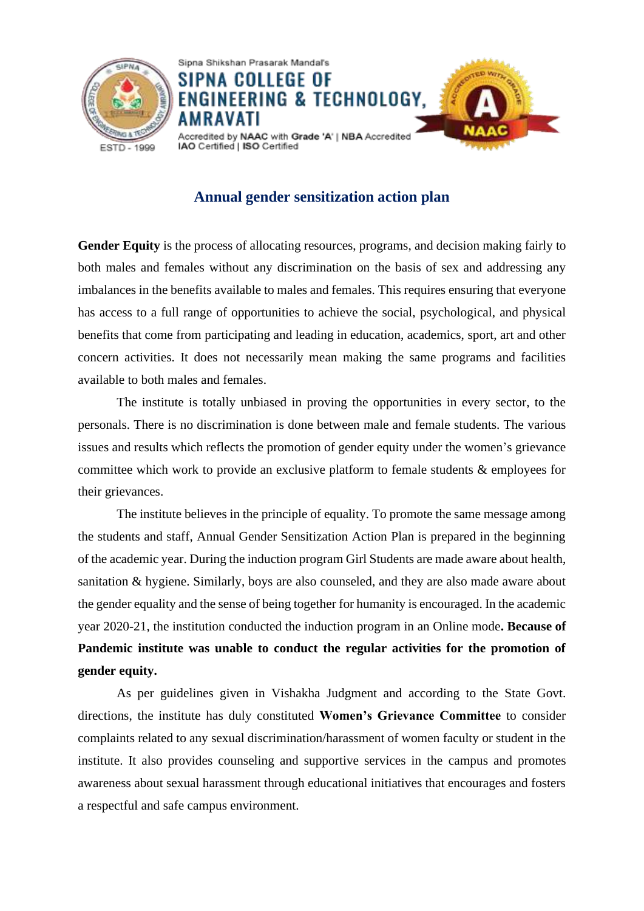



## **Annual gender sensitization action plan**

Gender Equity is the process of allocating resources, programs, and decision making fairly to both males and females without any discrimination on the basis of sex and addressing any imbalances in the benefits available to males and females. This requires ensuring that everyone has access to a full range of opportunities to achieve the social, psychological, and physical benefits that come from participating and leading in education, academics, sport, art and other concern activities. It does not necessarily mean making the same programs and facilities available to both males and females.

The institute is totally unbiased in proving the opportunities in every sector, to the personals. There is no discrimination is done between male and female students. The various issues and results which reflects the promotion of gender equity under the women's grievance committee which work to provide an exclusive platform to female students & employees for their grievances.

The institute believes in the principle of equality. To promote the same message among the students and staff, Annual Gender Sensitization Action Plan is prepared in the beginning of the academic year. During the induction program Girl Students are made aware about health, sanitation & hygiene. Similarly, boys are also counseled, and they are also made aware about the gender equality and the sense of being together for humanity is encouraged. In the academic year 2020-21, the institution conducted the induction program in an Online mode**. Because of Pandemic institute was unable to conduct the regular activities for the promotion of gender equity.** 

As per guidelines given in Vishakha Judgment and according to the State Govt. directions, the institute has duly constituted **Women's Grievance Committee** to consider complaints related to any sexual discrimination/harassment of women faculty or student in the institute. It also provides counseling and supportive services in the campus and promotes awareness about sexual harassment through educational initiatives that encourages and fosters a respectful and safe campus environment.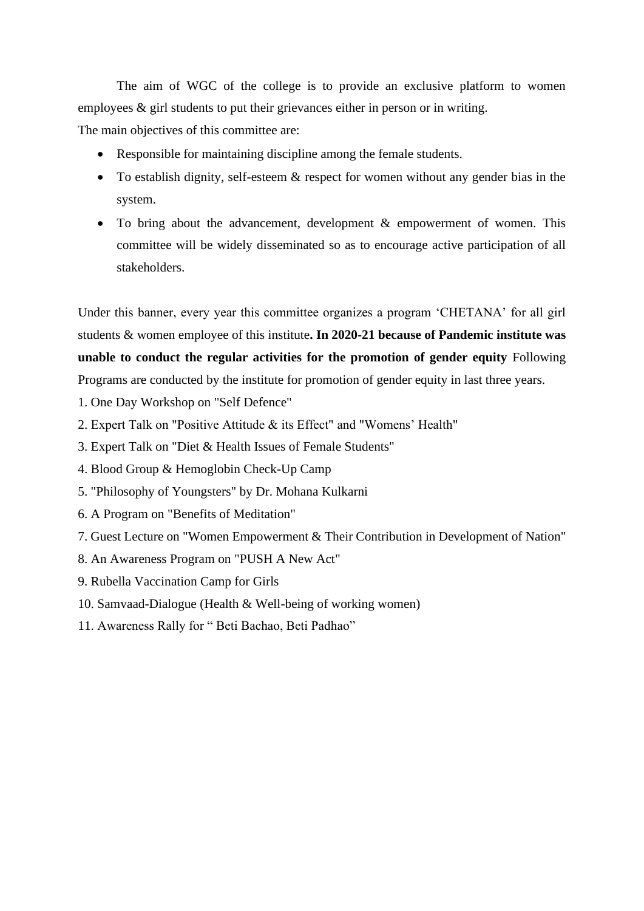The aim of WGC of the college is to provide an exclusive platform to women employees  $\&$  girl students to put their grievances either in person or in writing.

The main objectives of this committee are:

- Responsible for maintaining discipline among the female students.
- To establish dignity, self-esteem & respect for women without any gender bias in the system.
- To bring about the advancement, development & empowerment of women. This committee will be widely disseminated so as to encourage active participation of all stakeholders.

Under this banner, every year this committee organizes a program 'CHETANA' for all girl students & women employee of this institute**. In 2020-21 because of Pandemic institute was unable to conduct the regular activities for the promotion of gender equity** Following Programs are conducted by the institute for promotion of gender equity in last three years.

- 1. One Day Workshop on "Self Defence"
- 2. Expert Talk on "Positive Attitude & its Effect" and "Womens' Health"
- 3. Expert Talk on "Diet & Health Issues of Female Students"
- 4. Blood Group & Hemoglobin Check-Up Camp
- 5. "Philosophy of Youngsters" by Dr. Mohana Kulkarni
- 6. A Program on "Benefits of Meditation"
- 7. Guest Lecture on "Women Empowerment & Their Contribution in Development of Nation"
- 8. An Awareness Program on "PUSH A New Act"
- 9. Rubella Vaccination Camp for Girls
- 10. Samvaad-Dialogue (Health & Well-being of working women)
- 11. Awareness Rally for " Beti Bachao, Beti Padhao"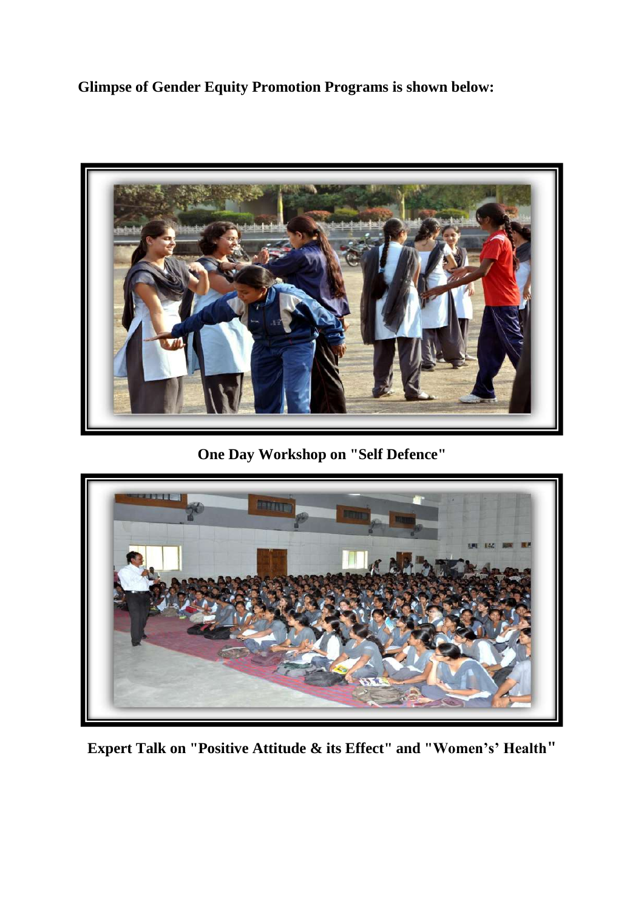**Glimpse of Gender Equity Promotion Programs is shown below:** 



**One Day Workshop on "Self Defence"**



**Expert Talk on "Positive Attitude & its Effect" and "Women's' Health"**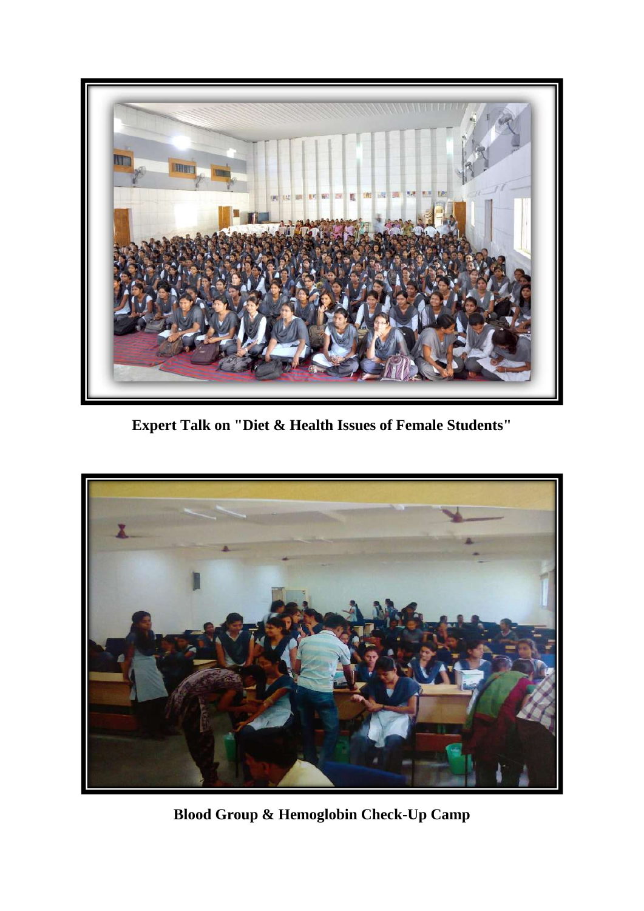

**Expert Talk on "Diet & Health Issues of Female Students"**



**Blood Group & Hemoglobin Check-Up Camp**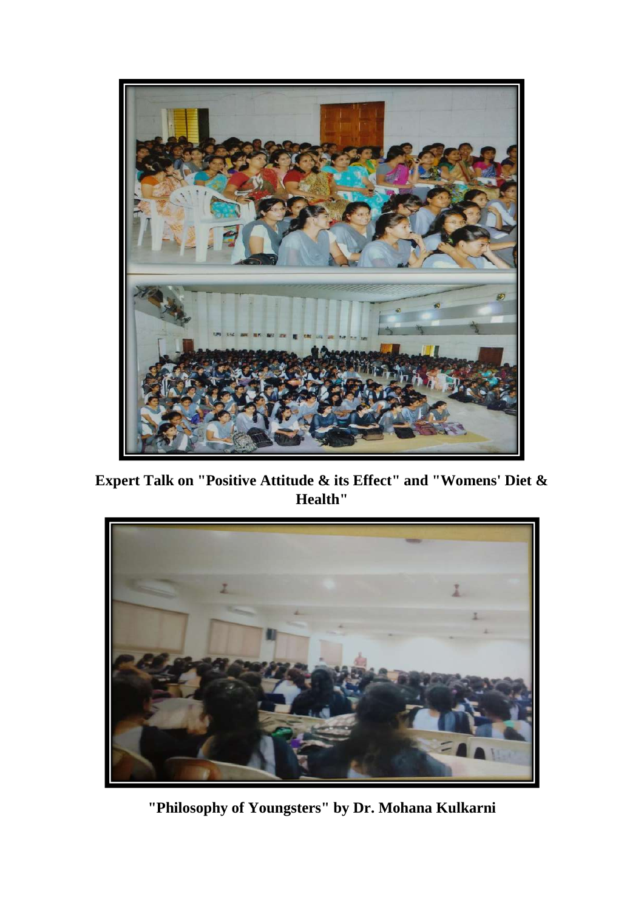

**Expert Talk on "Positive Attitude & its Effect" and "Womens' Diet & Health"**



**"Philosophy of Youngsters" by Dr. Mohana Kulkarni**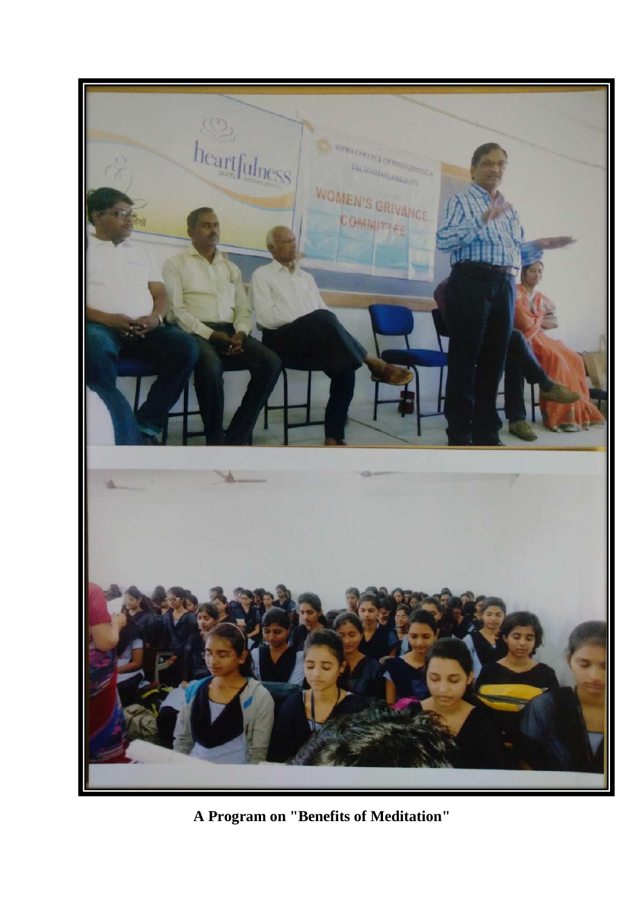

**A Program on "Benefits of Meditation"**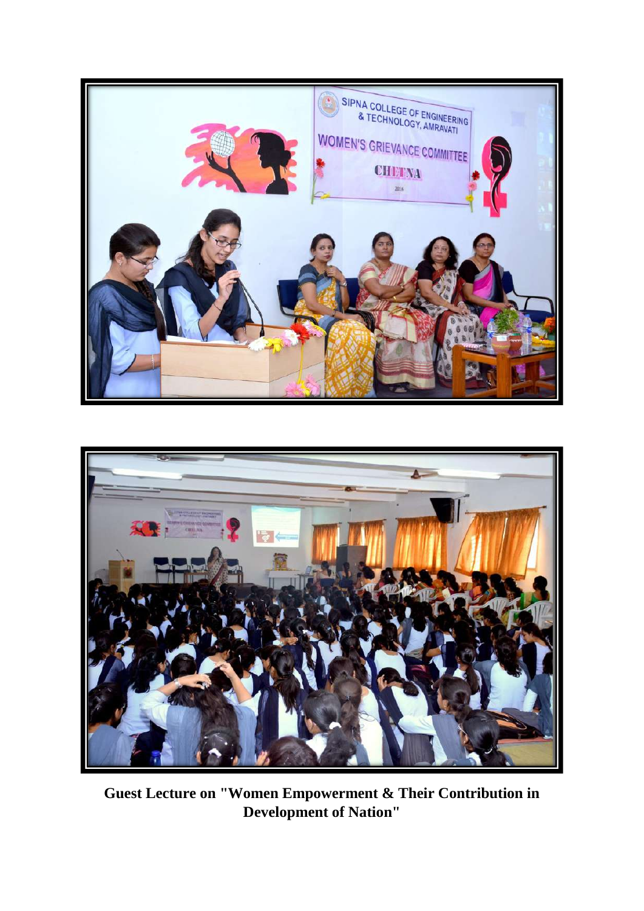



**Guest Lecture on "Women Empowerment & Their Contribution in Development of Nation"**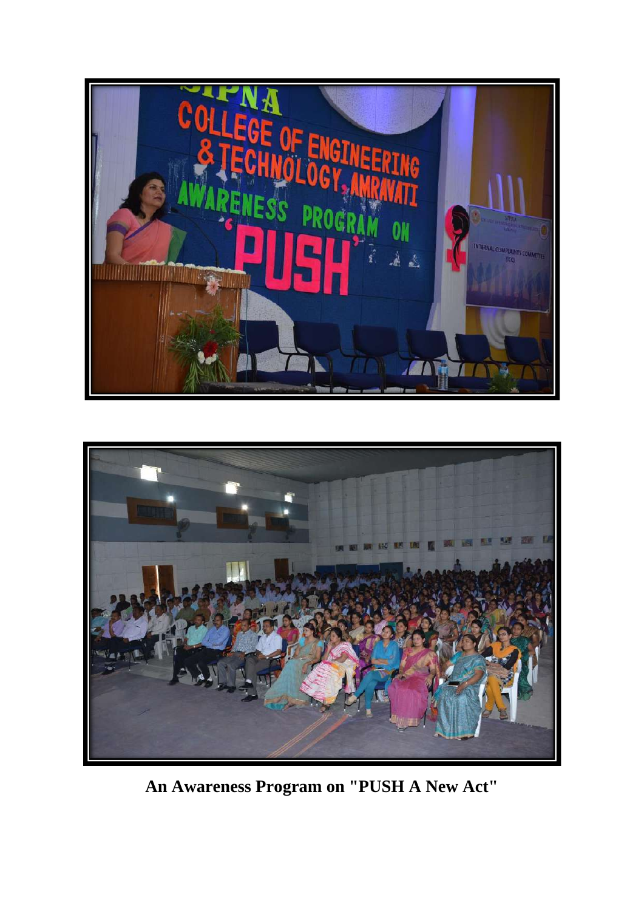



**An Awareness Program on "PUSH A New Act"**